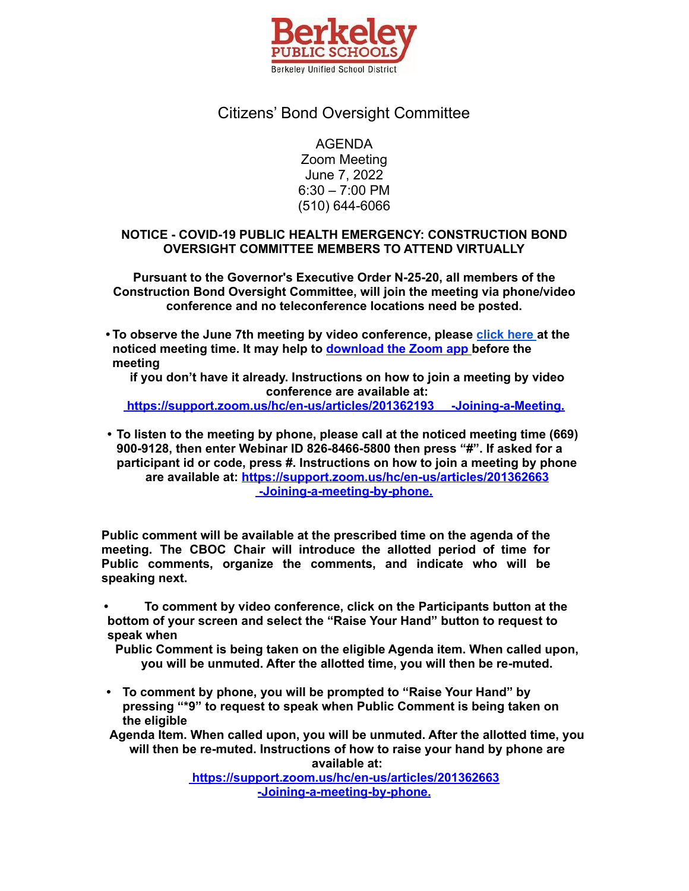

## Citizens' Bond Oversight Committee

AGENDA

Zoom Meeting June 7, 2022 6:30 – 7:00 PM (510) 644-6066

#### **NOTICE - COVID-19 PUBLIC HEALTH EMERGENCY: CONSTRUCTION BOND OVERSIGHT COMMITTEE MEMBERS TO ATTEND VIRTUALLY**

**Pursuant to the Governor's Executive Order N-25-20, all members of the Construction Bond Oversight Committee, will join the meeting via phone/video conference and no teleconference locations need be posted.**

**• To observe the June 7th meeting by video conference, please [click](https://berkeley-net.zoom.us/j/82684665800?pwd=bENCbnlIOS9IZlpMZFdMRXRxSXBCQT09) here at the noticed meeting time. It may help to d[ownload](https://zoom.us/support/download) the Zoom app before the meeting**

**if you don't have it already. Instructions on how to join a meeting by video conference are available at:**

**<https://support.zoom.us/hc/en-us/articles/201362193> -Joining-a-Meeting.**

**• To listen to the meeting by phone, please call at the noticed meeting time (669) 900-9128, then enter Webinar ID 826-8466-5800 then press "#". If asked for a participant id or code, press #. Instructions on how to join a meeting by phone are available at: <https://support.zoom.us/hc/en-us/articles/201362663> [-Joining-a-meeting-by-phone.](https://support.zoom.us/hc/en-us/articles/201362663)**

**Public comment will be available at the prescribed time on the agenda of the meeting. The CBOC Chair will introduce the allotted period of time for Public comments, organize the comments, and indicate who will be speaking next.**

**• To comment by video conference, click on the Participants button at the bottom of your screen and select the "Raise Your Hand" button to request to speak when**

**Public Comment is being taken on the eligible Agenda item. When called upon, you will be unmuted. After the allotted time, you will then be re-muted.**

**• To comment by phone, you will be prompted to "Raise Your Hand" by pressing "\*9" to request to speak when Public Comment is being taken on the eligible**

**Agenda Item. When called upon, you will be unmuted. After the allotted time, you will then be re-muted. Instructions of how to raise your hand by phone are available at:**

> **<https://support.zoom.us/hc/en-us/articles/201362663> [-Joining-a-meeting-by-phone.](https://support.zoom.us/hc/en-us/articles/201362663)**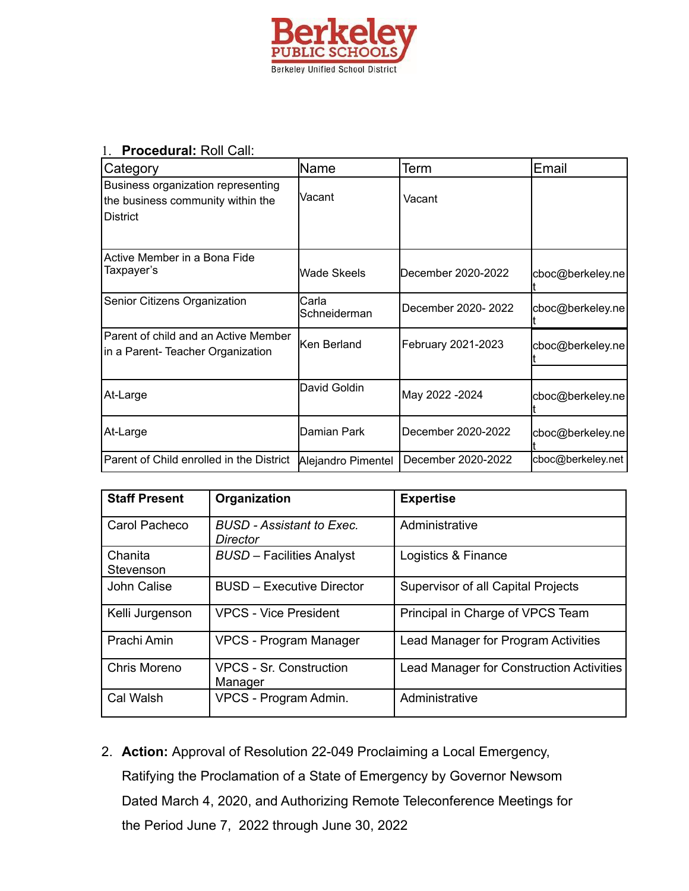

#### 1. **Procedural:** Roll Call:

| Category                                                                                    | lName                 | Term                | Email             |
|---------------------------------------------------------------------------------------------|-----------------------|---------------------|-------------------|
| Business organization representing<br>the business community within the<br><b>IDistrict</b> | Vacant                | Vacant              |                   |
| Active Member in a Bona Fide<br>Taxpayer's                                                  | Wade Skeels           | December 2020-2022  | cboc@berkeley.ne  |
| Senior Citizens Organization                                                                | Carla<br>Schneiderman | December 2020- 2022 | cboc@berkeley.ne  |
| Parent of child and an Active Member<br>in a Parent- Teacher Organization                   | Ken Berland           | February 2021-2023  | cboc@berkeley.ne  |
| At-Large                                                                                    | David Goldin          | May 2022 - 2024     | cboc@berkeley.ne  |
| At-Large                                                                                    | Damian Park           | December 2020-2022  | cboc@berkeley.ne  |
| Parent of Child enrolled in the District                                                    | Alejandro Pimentel    | December 2020-2022  | cboc@berkeley.net |

| <b>Staff Present</b> | Organization                                 | <b>Expertise</b>                                |
|----------------------|----------------------------------------------|-------------------------------------------------|
| Carol Pacheco        | <b>BUSD</b> - Assistant to Exec.<br>Director | Administrative                                  |
| Chanita<br>Stevenson | <b>BUSD</b> - Facilities Analyst             | Logistics & Finance                             |
| John Calise          | <b>BUSD - Executive Director</b>             | Supervisor of all Capital Projects              |
| Kelli Jurgenson      | <b>VPCS - Vice President</b>                 | Principal in Charge of VPCS Team                |
| Prachi Amin          | <b>VPCS - Program Manager</b>                | Lead Manager for Program Activities             |
| Chris Moreno         | <b>VPCS - Sr. Construction</b><br>Manager    | <b>Lead Manager for Construction Activities</b> |
| Cal Walsh            | VPCS - Program Admin.                        | Administrative                                  |

2. **Action:** Approval of Resolution 22-049 Proclaiming a Local Emergency, Ratifying the Proclamation of a State of Emergency by Governor Newsom Dated March 4, 2020, and Authorizing Remote Teleconference Meetings for the Period June 7, 2022 through June 30, 2022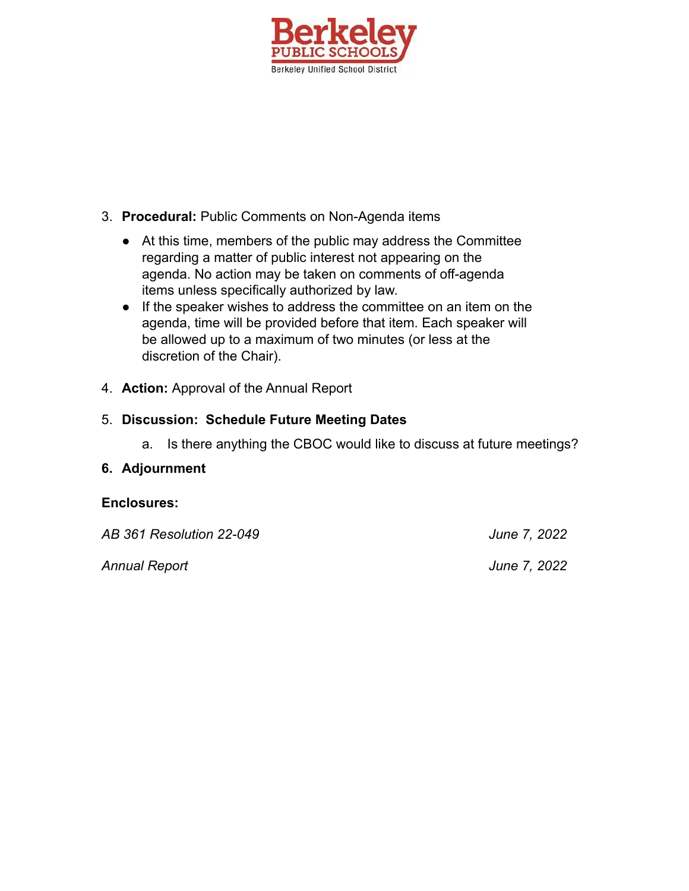

### 3. **Procedural:** Public Comments on Non-Agenda items

- At this time, members of the public may address the Committee regarding a matter of public interest not appearing on the agenda. No action may be taken on comments of off-agenda items unless specifically authorized by law.
- If the speaker wishes to address the committee on an item on the agenda, time will be provided before that item. Each speaker will be allowed up to a maximum of two minutes (or less at the discretion of the Chair).
- 4. **Action:** Approval of the Annual Report

## 5. **Discussion: Schedule Future Meeting Dates**

a. Is there anything the CBOC would like to discuss at future meetings?

### **6. Adjournment**

# **Enclosures:** *AB 361 Resolution 22-049 June 7, 2022 Annual Report June 7, 2022*